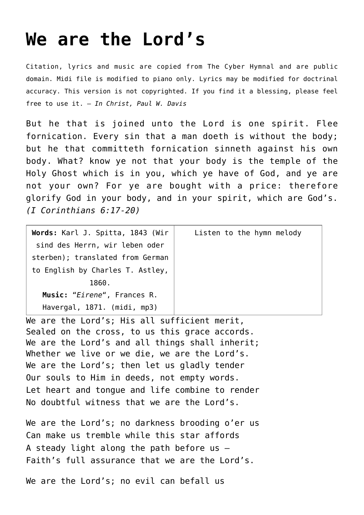## **[We are the Lord's](http://reproachofmen.org/hymns-and-music/we-are-the-lords/)**

Citation, lyrics and music are copied from [The Cyber Hymnal](http://www.hymntime.com/tch/index.htm) and are public domain. Midi file is modified to piano only. Lyrics may be modified for doctrinal accuracy. This version is not copyrighted. If you find it a blessing, please feel free to use it. — *In Christ, Paul W. Davis*

But he that is joined unto the Lord is one spirit. Flee fornication. Every sin that a man doeth is without the body; but he that committeth fornication sinneth against his own body. What? know ye not that your body is the temple of the Holy Ghost which is in you, which ye have of God, and ye are not your own? For ye are bought with a price: therefore glorify God in your body, and in your spirit, which are God's. *(I Corinthians 6:17-20)*

| Words: Karl J. Spitta, 1843 (Wir | Listen to the hymn melody |
|----------------------------------|---------------------------|
| sind des Herrn, wir leben oder   |                           |
| sterben); translated from German |                           |
| to English by Charles T. Astley, |                           |
| 1860.                            |                           |
| Music: "Eirene", Frances R.      |                           |
| Havergal, 1871. (midi, mp3)      |                           |

We are the Lord's; His all sufficient merit, Sealed on the cross, to us this grace accords. We are the Lord's and all things shall inherit; Whether we live or we die, we are the Lord's. We are the Lord's; then let us gladly tender Our souls to Him in deeds, not empty words. Let heart and tongue and life combine to render No doubtful witness that we are the Lord's.

We are the Lord's; no darkness brooding o'er us Can make us tremble while this star affords A steady light along the path before us — Faith's full assurance that we are the Lord's.

We are the Lord's; no evil can befall us